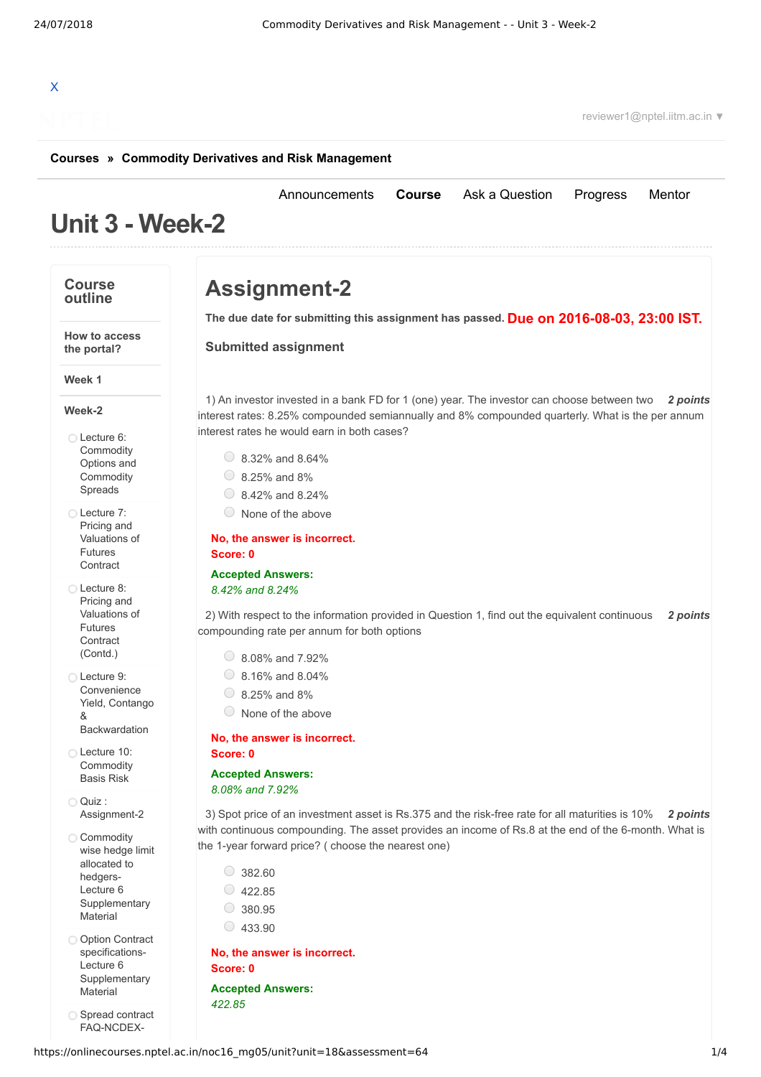# X

reviewer1@nptel.iitm.ac.in ▼

#### **[Courses](https://onlinecourses.nptel.ac.in/) » [Commodity Derivatives and Risk Management](https://onlinecourses.nptel.ac.in/noc16_mg05/course)**

## **Unit 3 - Week-2**

#### **Course outline**

### **Assignment-2**

**Due on 2016-08-03, 23:00 IST. The due date for submitting this assignment has passed.**

1) An investor invested in a bank FD for 1 (one) year. The investor can choose between two 2 *points* 

interest rates: 8.25% compounded semiannually and 8% compounded quarterly. What is the per annum

2) With respect to the information provided in Question 1, find out the equivalent continuous 2 *points* 

3) *2 points* Spot price of an investment asset is Rs.375 and the risk-free rate for all maturities is 10%

with continuous compounding. The asset provides an income of Rs.8 at the end of the 6-month. What is

[Announcements](https://onlinecourses.nptel.ac.in/noc16_mg05/announcements) **[Course](https://onlinecourses.nptel.ac.in/noc16_mg05/course)** [Ask a Question](https://onlinecourses.nptel.ac.in/noc16_mg05/forum) [Progress](https://onlinecourses.nptel.ac.in/noc16_mg05/student/home) [Mentor](https://onlinecourses.nptel.ac.in/noc16_mg05/student/mentor)

**Submitted assignment**

 $\circ$  8.32% and 8.64%  $\circ$  8.25% and 8%  $\circ$  8.42% and 8.24%  $\circ$  None of the above

**No, the answer is incorrect.**

compounding rate per annum for both options

**Accepted Answers:** *8.42% and 8.24%*

> 8.08% and 7.92%  $\circ$  8.16% and 8.04%  $\circ$  8.25% and 8% None of the above

**No, the answer is incorrect.**

**Accepted Answers:** *8.08% and 7.92%*

**Score: 0**

**Score: 0**

interest rates he would earn in both cases?

**the portal?**

**How to access**

#### **Week-2**

**Week 1**

Lecture 6: **[Commodity](https://onlinecourses.nptel.ac.in/noc16_mg05/unit?unit=18&lesson=35)** Options and **Commodity** Spreads

Lecture 7: Pricing and [Valuations](https://onlinecourses.nptel.ac.in/noc16_mg05/unit?unit=18&lesson=36) of Futures Contract

Lecture 8: Pricing and [Valuations](https://onlinecourses.nptel.ac.in/noc16_mg05/unit?unit=18&lesson=37) of Futures **Contract** (Contd.)

Lecture 9: Convenience Yield, Contango & [Backwardation](https://onlinecourses.nptel.ac.in/noc16_mg05/unit?unit=18&lesson=38)

Lecture 10: [Commodity](https://onlinecourses.nptel.ac.in/noc16_mg05/unit?unit=18&lesson=39) Basis Risk

Quiz : [Assignment-2](https://onlinecourses.nptel.ac.in/noc16_mg05/assessment?name=64)

Commodity wise hedge limit allocated to hedgers-Lecture 6 **[Supplementary](https://onlinecourses.nptel.ac.in/noc16_mg05/link?unit=51) Material** 

O Option Contract specifications-Lecture 6 **[Supplementary](https://onlinecourses.nptel.ac.in/noc16_mg05/link?unit=52)** Material

Spread contract [FAQ-NCDEX-](https://onlinecourses.nptel.ac.in/noc16_mg05/link?unit=53)

the 1-year forward price? ( choose the nearest one)  $\circ$  382.60  $\circ$  422.85

 $\circ$  380.95

 $\circ$  433.90

**No, the answer is incorrect. Score: 0 Accepted Answers:** *422.85*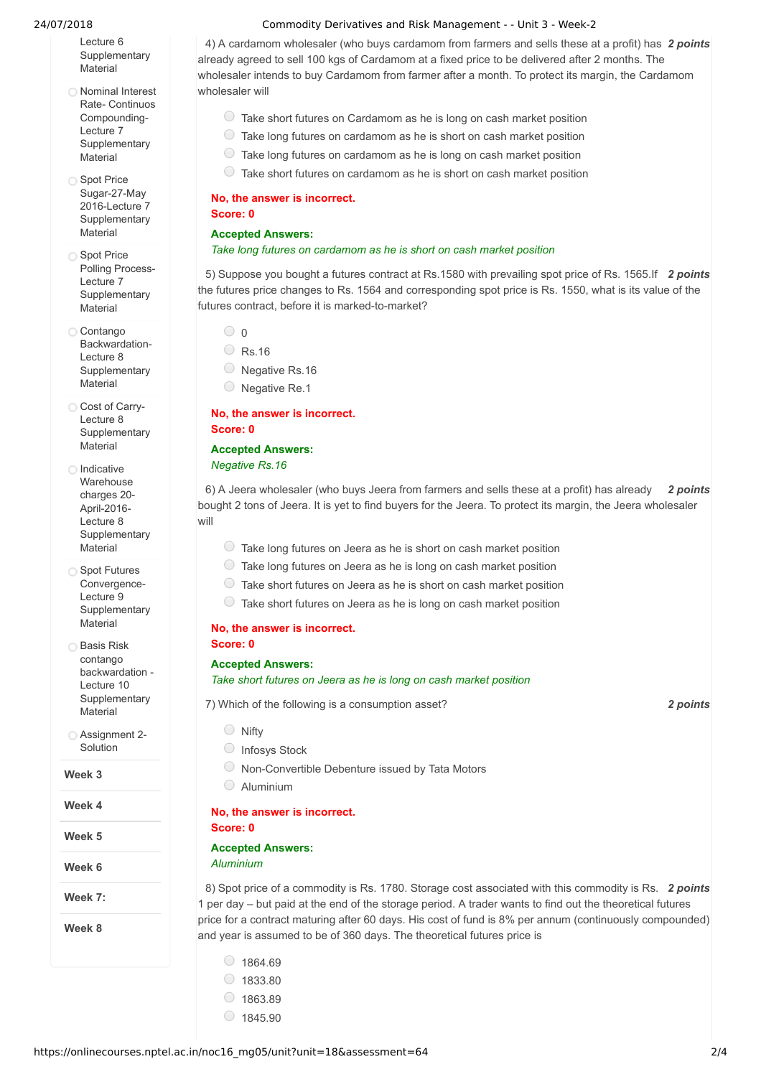Lecture 6 **[Supplementary](https://onlinecourses.nptel.ac.in/noc16_mg05/link?unit=53) Material** 

- Nominal Interest Rate- Continuos Compounding-Lecture 7 **[Supplementary](https://onlinecourses.nptel.ac.in/noc16_mg05/link?unit=54)** Material
- ◯ Spot Price Sugar-27-May 2016-Lecture 7 **[Supplementary](https://onlinecourses.nptel.ac.in/noc16_mg05/link?unit=55)** Material
- ◯ Spot Price Polling Process-Lecture 7 **[Supplementary](https://onlinecourses.nptel.ac.in/noc16_mg05/link?unit=56) Material**
- Contango [Backwardation-](https://onlinecourses.nptel.ac.in/noc16_mg05/link?unit=58)Lecture 8 **Supplementary** Material
- Cost of Carry-Lecture 8 **[Supplementary](https://onlinecourses.nptel.ac.in/noc16_mg05/link?unit=59)** Material
- □ Indicative Warehouse charges 20- April-2016- Lecture 8 **[Supplementary](https://onlinecourses.nptel.ac.in/noc16_mg05/link?unit=60)** Material
- Spot Futures Convergence-Lecture 9 **[Supplementary](https://onlinecourses.nptel.ac.in/noc16_mg05/link?unit=66)** Material
- **Basis Risk** contango backwardation - Lecture 10 **[Supplementary](https://onlinecourses.nptel.ac.in/noc16_mg05/link?unit=67) Material**
- [Assignment](https://onlinecourses.nptel.ac.in/noc16_mg05/link?unit=153) 2- **Solution**

**Week 3**

- **Week 4**
- **Week 5**

**Week 6**

**Week 7:**

**Week 8**

#### 24/07/2018 Commodity Derivatives and Risk Management - - Unit 3 - Week-2

4) A cardamom wholesaler (who buys cardamom from farmers and sells these at a profit) has 2 *points* already agreed to sell 100 kgs of Cardamom at a fixed price to be delivered after 2 months. The wholesaler intends to buy Cardamom from farmer after a month. To protect its margin, the Cardamom wholesaler will

- $\circ$  Take short futures on Cardamom as he is long on cash market position
- $\circ$  Take long futures on cardamom as he is short on cash market position
- Take long futures on cardamom as he is long on cash market position
- $\circ$  Take short futures on cardamom as he is short on cash market position

#### **No, the answer is incorrect. Score: 0**

#### **Accepted Answers:**

#### *Take long futures on cardamom as he is short on cash market position*

5) Suppose you bought a futures contract at Rs.1580 with prevailing spot price of Rs. 1565.If 2 points the futures price changes to Rs. 1564 and corresponding spot price is Rs. 1550, what is its value of the futures contract, before it is marked-to-market?

- $\bigcirc$  0
- Rs.16
- O Negative Rs.16
- O Negative Re.1

#### **No, the answer is incorrect. Score: 0**

### **Accepted Answers:**

*Negative Rs.16*

6) *2 points* A Jeera wholesaler (who buys Jeera from farmers and sells these at a profit) has already bought 2 tons of Jeera. It is yet to find buyers for the Jeera. To protect its margin, the Jeera wholesaler will

- $\circ$  Take long futures on Jeera as he is short on cash market position
- $\bigcirc$  Take long futures on Jeera as he is long on cash market position
- $\circ$  Take short futures on Jeera as he is short on cash market position
- $\circ$  Take short futures on Jeera as he is long on cash market position

#### **No, the answer is incorrect. Score: 0**

#### **Accepted Answers:**

#### *Take short futures on Jeera as he is long on cash market position*

7) *2 points* Which of the following is a consumption asset?

- Nifty
- C Infosys Stock
- Non-Convertible Debenture issued by Tata Motors
- Aluminium

#### **No, the answer is incorrect.**

#### **Score: 0 Accepted Answers:**

### *Aluminium*

8) Spot price of a commodity is Rs. 1780. Storage cost associated with this commodity is Rs. 2 points 1 per day – but paid at the end of the storage period. A trader wants to find out the theoretical futures price for a contract maturing after 60 days. His cost of fund is 8% per annum (continuously compounded) and year is assumed to be of 360 days. The theoretical futures price is

- $\circ$  1864.69
- $\circ$  1833.80
- $\circ$  1863.89
- $01845.90$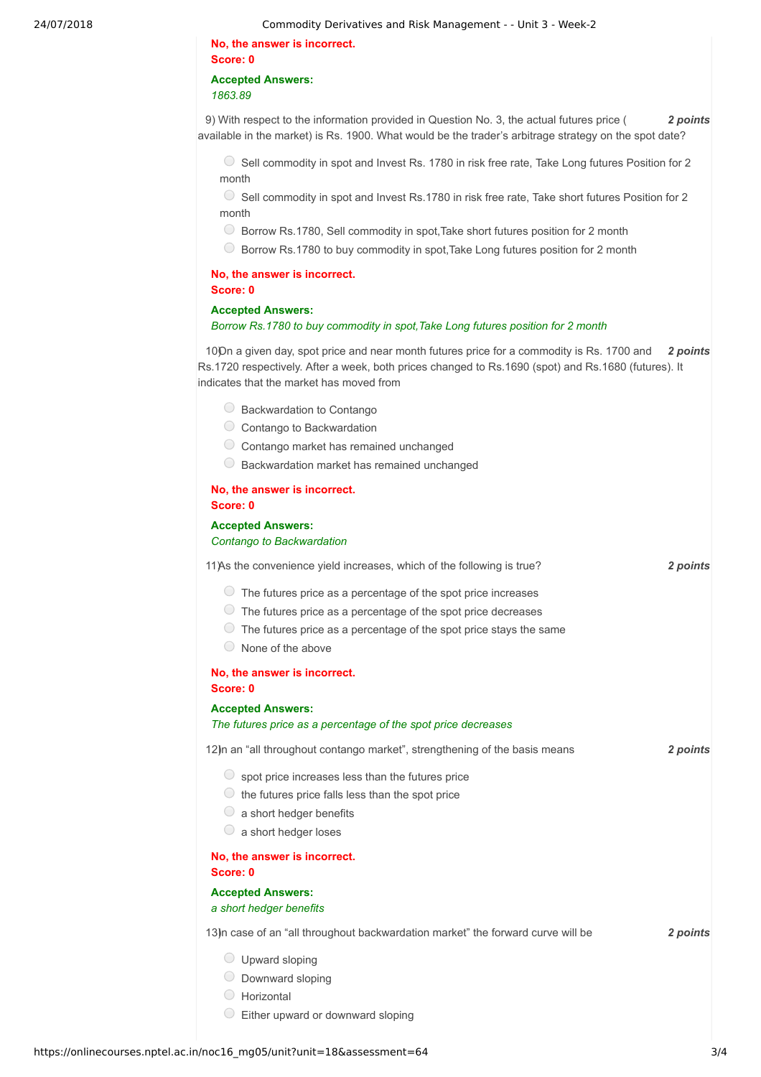24/07/2018 Commodity Derivatives and Risk Management - - Unit 3 - Week-2

**No, the answer is incorrect. Score: 0 Accepted Answers:**

*1863.89*

9) *2 points* With respect to the information provided in Question No. 3, the actual futures price ( available in the market) is Rs. 1900. What would be the trader's arbitrage strategy on the spot date?

Sell commodity in spot and Invest Rs. 1780 in risk free rate, Take Long futures Position for 2 month

 $\circ$  Sell commodity in spot and Invest Rs.1780 in risk free rate, Take short futures Position for 2 month

- Borrow Rs.1780, Sell commodity in spot,Take short futures position for 2 month
- Borrow Rs.1780 to buy commodity in spot,Take Long futures position for 2 month

#### **No, the answer is incorrect. Score: 0**

#### **Accepted Answers:**

*Borrow Rs.1780 to buy commodity in spot,Take Long futures position for 2 month*

100n a given day, spot price and near month futures price for a commodity is Rs. 1700 and 2 *points* Rs.1720 respectively. After a week, both prices changed to Rs.1690 (spot) and Rs.1680 (futures). It indicates that the market has moved from

- Backwardation to Contango
- Contango to Backwardation
- Contango market has remained unchanged
- Backwardation market has remained unchanged

#### **No, the answer is incorrect. Score: 0**

**Accepted Answers:** *Contango to Backwardation*

11) *2 points* As the convenience yield increases, which of the following is true?

- $\circlearrowright$  The futures price as a percentage of the spot price increases
- $\circ$  The futures price as a percentage of the spot price decreases
- $\circ$  The futures price as a percentage of the spot price stays the same
- $\circ$  None of the above

#### **No, the answer is incorrect. Score: 0**

**Accepted Answers:**

*The futures price as a percentage of the spot price decreases*

12) *n* an "all throughout contango market", strengthening of the basis means **2 2** points

- $\circledcirc$  spot price increases less than the futures price
- $\circledcirc$  the futures price falls less than the spot price
- $\circ$  a short hedger benefits
- $\circ$  a short hedger loses

**No, the answer is incorrect. Score: 0**

#### **Accepted Answers:**

*a short hedger benefits*

13) **13** *points* 2 *points* 

- Upward sloping
- $\circ$  Downward sloping
- Horizontal
- $\circledcirc$  Either upward or downward sloping